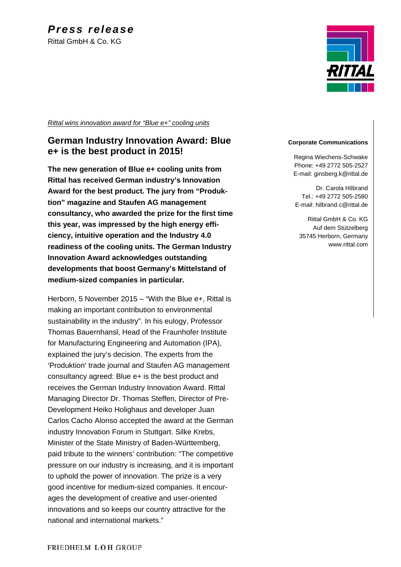RITTA

*Rittal wins innovation award for "Blue e+" cooling units*

## **German Industry Innovation Award: Blue e+ is the best product in 2015!**

**The new generation of Blue e+ cooling units from Rittal has received German industry's Innovation Award for the best product. The jury from "Produktion" magazine and Staufen AG management consultancy, who awarded the prize for the first time this year, was impressed by the high energy efficiency, intuitive operation and the Industry 4.0 readiness of the cooling units. The German Industry Innovation Award acknowledges outstanding developments that boost Germany's Mittelstand of medium-sized companies in particular.**

Herborn, 5 November 2015 – "With the Blue e+, Rittal is making an important contribution to environmental sustainability in the industry". In his eulogy, Professor Thomas Bauernhansl, Head of the Fraunhofer Institute for Manufacturing Engineering and Automation (IPA), explained the jury's decision. The experts from the 'Produktion' trade journal and Staufen AG management consultancy agreed: Blue e+ is the best product and receives the German Industry Innovation Award. Rittal Managing Director Dr. Thomas Steffen, Director of Pre-Development Heiko Holighaus and developer Juan Carlos Cacho Alonso accepted the award at the German industry Innovation Forum in Stuttgart. Silke Krebs, Minister of the State Ministry of Baden-Württemberg, paid tribute to the winners' contribution: "The competitive pressure on our industry is increasing, and it is important to uphold the power of innovation. The prize is a very good incentive for medium-sized companies. It encourages the development of creative and user-oriented innovations and so keeps our country attractive for the national and international markets."

#### **Corporate Communications**

Regina Wiechens-Schwake Phone: +49 2772 505-2527 E-mail: ginsberg.k@rittal.de

Dr. Carola Hilbrand Tel.: +49 2772 505-2580 E-mail: hilbrand.c@rittal.de

Rittal GmbH & Co. KG Auf dem Stützelberg 35745 Herborn, Germany www.rittal.com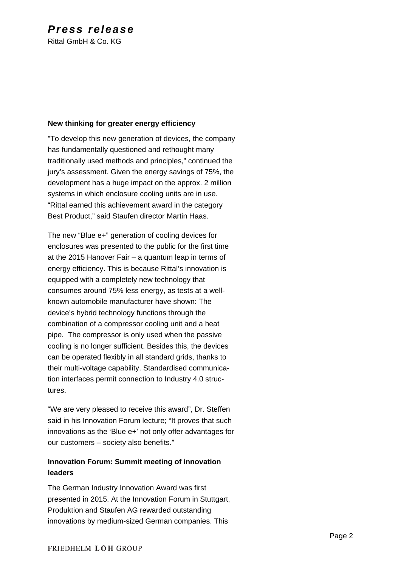# *Press release*

Rittal GmbH & Co. KG

### **New thinking for greater energy efficiency**

"To develop this new generation of devices, the company has fundamentally questioned and rethought many traditionally used methods and principles," continued the jury's assessment. Given the energy savings of 75%, the development has a huge impact on the approx. 2 million systems in which enclosure cooling units are in use. "Rittal earned this achievement award in the category Best Product," said Staufen director Martin Haas.

The new "Blue e+" generation of cooling devices for enclosures was presented to the public for the first time at the 2015 Hanover Fair – a quantum leap in terms of energy efficiency. This is because Rittal's innovation is equipped with a completely new technology that consumes around 75% less energy, as tests at a wellknown automobile manufacturer have shown: The device's hybrid technology functions through the combination of a compressor cooling unit and a heat pipe. The compressor is only used when the passive cooling is no longer sufficient. Besides this, the devices can be operated flexibly in all standard grids, thanks to their multi-voltage capability. Standardised communication interfaces permit connection to Industry 4.0 structures.

"We are very pleased to receive this award", Dr. Steffen said in his Innovation Forum lecture; "It proves that such innovations as the 'Blue e+' not only offer advantages for our customers – society also benefits."

## **Innovation Forum: Summit meeting of innovation leaders**

The German Industry Innovation Award was first presented in 2015. At the Innovation Forum in Stuttgart, Produktion and Staufen AG rewarded outstanding innovations by medium-sized German companies. This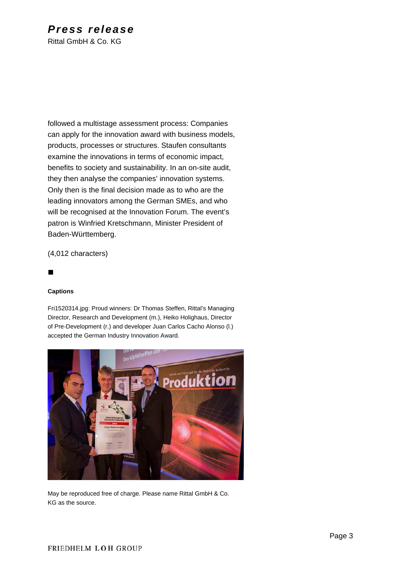# *Press release*

Rittal GmbH & Co. KG

followed a multistage assessment process: Companies can apply for the innovation award with business models, products, processes or structures. Staufen consultants examine the innovations in terms of economic impact, benefits to society and sustainability. In an on-site audit, they then analyse the companies' innovation systems. Only then is the final decision made as to who are the leading innovators among the German SMEs, and who will be recognised at the Innovation Forum. The event's patron is Winfried Kretschmann, Minister President of Baden-Württemberg.

(4,012 characters)

### 

#### **Captions**

Fri1520314.jpg: Proud winners: Dr Thomas Steffen, Rittal's Managing Director, Research and Development (m.), Heiko Holighaus, Director of Pre-Development (r.) and developer Juan Carlos Cacho Alonso (l.) accepted the German Industry Innovation Award.



May be reproduced free of charge. Please name Rittal GmbH & Co. KG as the source.